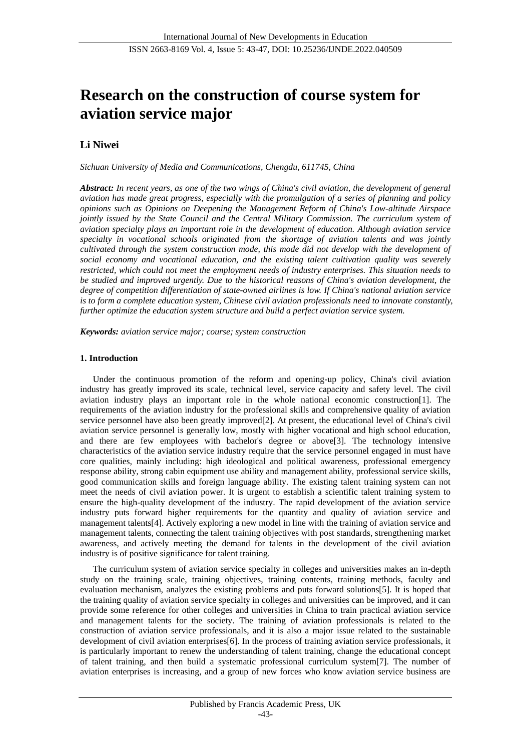# **Research on the construction of course system for aviation service major**

## **Li Niwei**

*Sichuan University of Media and Communications, Chengdu, 611745, China*

*Abstract: In recent years, as one of the two wings of China's civil aviation, the development of general aviation has made great progress, especially with the promulgation of a series of planning and policy opinions such as Opinions on Deepening the Management Reform of China's Low-altitude Airspace jointly issued by the State Council and the Central Military Commission. The curriculum system of aviation specialty plays an important role in the development of education. Although aviation service specialty in vocational schools originated from the shortage of aviation talents and was jointly cultivated through the system construction mode, this mode did not develop with the development of social economy and vocational education, and the existing talent cultivation quality was severely restricted, which could not meet the employment needs of industry enterprises. This situation needs to be studied and improved urgently. Due to the historical reasons of China's aviation development, the degree of competition differentiation of state-owned airlines is low. If China's national aviation service is to form a complete education system, Chinese civil aviation professionals need to innovate constantly, further optimize the education system structure and build a perfect aviation service system.*

*Keywords: aviation service major; course; system construction*

## **1. Introduction**

Under the continuous promotion of the reform and opening-up policy, China's civil aviation industry has greatly improved its scale, technical level, service capacity and safety level. The civil aviation industry plays an important role in the whole national economic construction[1]. The requirements of the aviation industry for the professional skills and comprehensive quality of aviation service personnel have also been greatly improved[2]. At present, the educational level of China's civil aviation service personnel is generally low, mostly with higher vocational and high school education, and there are few employees with bachelor's degree or above[3]. The technology intensive characteristics of the aviation service industry require that the service personnel engaged in must have core qualities, mainly including: high ideological and political awareness, professional emergency response ability, strong cabin equipment use ability and management ability, professional service skills, good communication skills and foreign language ability. The existing talent training system can not meet the needs of civil aviation power. It is urgent to establish a scientific talent training system to ensure the high-quality development of the industry. The rapid development of the aviation service industry puts forward higher requirements for the quantity and quality of aviation service and management talents[4]. Actively exploring a new model in line with the training of aviation service and management talents, connecting the talent training objectives with post standards, strengthening market awareness, and actively meeting the demand for talents in the development of the civil aviation industry is of positive significance for talent training.

The curriculum system of aviation service specialty in colleges and universities makes an in-depth study on the training scale, training objectives, training contents, training methods, faculty and evaluation mechanism, analyzes the existing problems and puts forward solutions[5]. It is hoped that the training quality of aviation service specialty in colleges and universities can be improved, and it can provide some reference for other colleges and universities in China to train practical aviation service and management talents for the society. The training of aviation professionals is related to the construction of aviation service professionals, and it is also a major issue related to the sustainable development of civil aviation enterprises[6]. In the process of training aviation service professionals, it is particularly important to renew the understanding of talent training, change the educational concept of talent training, and then build a systematic professional curriculum system[7]. The number of aviation enterprises is increasing, and a group of new forces who know aviation service business are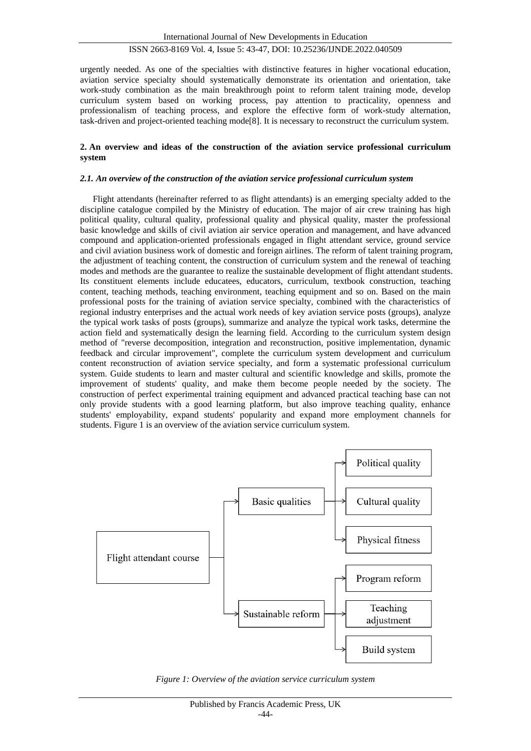## ISSN 2663-8169 Vol. 4, Issue 5: 43-47, DOI: 10.25236/IJNDE.2022.040509

urgently needed. As one of the specialties with distinctive features in higher vocational education, aviation service specialty should systematically demonstrate its orientation and orientation, take work-study combination as the main breakthrough point to reform talent training mode, develop curriculum system based on working process, pay attention to practicality, openness and professionalism of teaching process, and explore the effective form of work-study alternation, task-driven and project-oriented teaching mode[8]. It is necessary to reconstruct the curriculum system.

#### **2. An overview and ideas of the construction of the aviation service professional curriculum system**

## *2.1. An overview of the construction of the aviation service professional curriculum system*

Flight attendants (hereinafter referred to as flight attendants) is an emerging specialty added to the discipline catalogue compiled by the Ministry of education. The major of air crew training has high political quality, cultural quality, professional quality and physical quality, master the professional basic knowledge and skills of civil aviation air service operation and management, and have advanced compound and application-oriented professionals engaged in flight attendant service, ground service and civil aviation business work of domestic and foreign airlines. The reform of talent training program, the adjustment of teaching content, the construction of curriculum system and the renewal of teaching modes and methods are the guarantee to realize the sustainable development of flight attendant students. Its constituent elements include educatees, educators, curriculum, textbook construction, teaching content, teaching methods, teaching environment, teaching equipment and so on. Based on the main professional posts for the training of aviation service specialty, combined with the characteristics of regional industry enterprises and the actual work needs of key aviation service posts (groups), analyze the typical work tasks of posts (groups), summarize and analyze the typical work tasks, determine the action field and systematically design the learning field. According to the curriculum system design method of "reverse decomposition, integration and reconstruction, positive implementation, dynamic feedback and circular improvement", complete the curriculum system development and curriculum content reconstruction of aviation service specialty, and form a systematic professional curriculum system. Guide students to learn and master cultural and scientific knowledge and skills, promote the improvement of students' quality, and make them become people needed by the society. The construction of perfect experimental training equipment and advanced practical teaching base can not only provide students with a good learning platform, but also improve teaching quality, enhance students' employability, expand students' popularity and expand more employment channels for students. Figure 1 is an overview of the aviation service curriculum system.



*Figure 1: Overview of the aviation service curriculum system*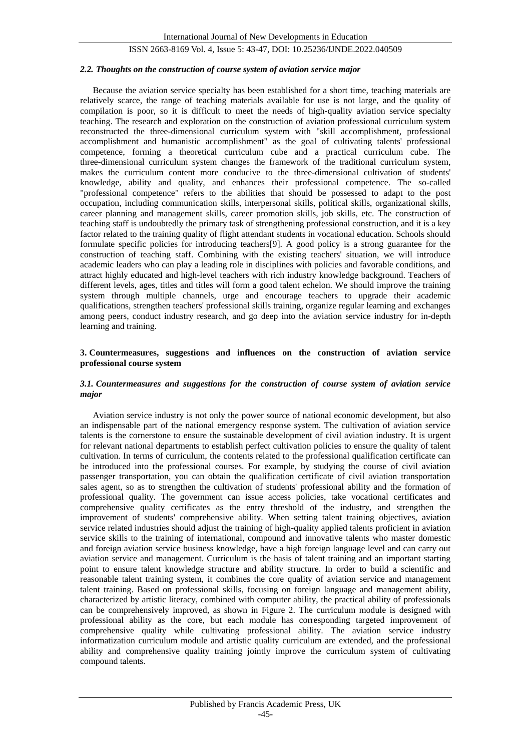## ISSN 2663-8169 Vol. 4, Issue 5: 43-47, DOI: 10.25236/IJNDE.2022.040509

#### *2.2. Thoughts on the construction of course system of aviation service major*

Because the aviation service specialty has been established for a short time, teaching materials are relatively scarce, the range of teaching materials available for use is not large, and the quality of compilation is poor, so it is difficult to meet the needs of high-quality aviation service specialty teaching. The research and exploration on the construction of aviation professional curriculum system reconstructed the three-dimensional curriculum system with "skill accomplishment, professional accomplishment and humanistic accomplishment" as the goal of cultivating talents' professional competence, forming a theoretical curriculum cube and a practical curriculum cube. The three-dimensional curriculum system changes the framework of the traditional curriculum system, makes the curriculum content more conducive to the three-dimensional cultivation of students' knowledge, ability and quality, and enhances their professional competence. The so-called "professional competence" refers to the abilities that should be possessed to adapt to the post occupation, including communication skills, interpersonal skills, political skills, organizational skills, career planning and management skills, career promotion skills, job skills, etc. The construction of teaching staff is undoubtedly the primary task of strengthening professional construction, and it is a key factor related to the training quality of flight attendant students in vocational education. Schools should formulate specific policies for introducing teachers[9]. A good policy is a strong guarantee for the construction of teaching staff. Combining with the existing teachers' situation, we will introduce academic leaders who can play a leading role in disciplines with policies and favorable conditions, and attract highly educated and high-level teachers with rich industry knowledge background. Teachers of different levels, ages, titles and titles will form a good talent echelon. We should improve the training system through multiple channels, urge and encourage teachers to upgrade their academic qualifications, strengthen teachers' professional skills training, organize regular learning and exchanges among peers, conduct industry research, and go deep into the aviation service industry for in-depth learning and training.

#### **3. Countermeasures, suggestions and influences on the construction of aviation service professional course system**

#### *3.1. Countermeasures and suggestions for the construction of course system of aviation service major*

Aviation service industry is not only the power source of national economic development, but also an indispensable part of the national emergency response system. The cultivation of aviation service talents is the cornerstone to ensure the sustainable development of civil aviation industry. It is urgent for relevant national departments to establish perfect cultivation policies to ensure the quality of talent cultivation. In terms of curriculum, the contents related to the professional qualification certificate can be introduced into the professional courses. For example, by studying the course of civil aviation passenger transportation, you can obtain the qualification certificate of civil aviation transportation sales agent, so as to strengthen the cultivation of students' professional ability and the formation of professional quality. The government can issue access policies, take vocational certificates and comprehensive quality certificates as the entry threshold of the industry, and strengthen the improvement of students' comprehensive ability. When setting talent training objectives, aviation service related industries should adjust the training of high-quality applied talents proficient in aviation service skills to the training of international, compound and innovative talents who master domestic and foreign aviation service business knowledge, have a high foreign language level and can carry out aviation service and management. Curriculum is the basis of talent training and an important starting point to ensure talent knowledge structure and ability structure. In order to build a scientific and reasonable talent training system, it combines the core quality of aviation service and management talent training. Based on professional skills, focusing on foreign language and management ability, characterized by artistic literacy, combined with computer ability, the practical ability of professionals can be comprehensively improved, as shown in Figure 2. The curriculum module is designed with professional ability as the core, but each module has corresponding targeted improvement of comprehensive quality while cultivating professional ability. The aviation service industry informatization curriculum module and artistic quality curriculum are extended, and the professional ability and comprehensive quality training jointly improve the curriculum system of cultivating compound talents.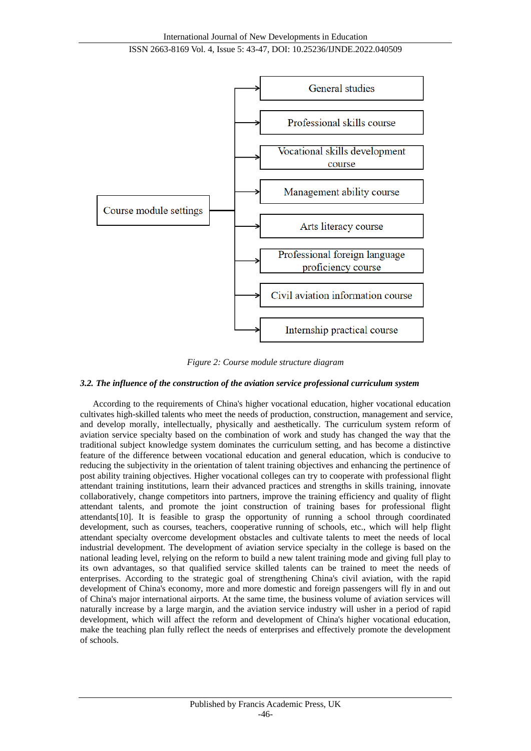

*Figure 2: Course module structure diagram*

## *3.2. The influence of the construction of the aviation service professional curriculum system*

According to the requirements of China's higher vocational education, higher vocational education cultivates high-skilled talents who meet the needs of production, construction, management and service, and develop morally, intellectually, physically and aesthetically. The curriculum system reform of aviation service specialty based on the combination of work and study has changed the way that the traditional subject knowledge system dominates the curriculum setting, and has become a distinctive feature of the difference between vocational education and general education, which is conducive to reducing the subjectivity in the orientation of talent training objectives and enhancing the pertinence of post ability training objectives. Higher vocational colleges can try to cooperate with professional flight attendant training institutions, learn their advanced practices and strengths in skills training, innovate collaboratively, change competitors into partners, improve the training efficiency and quality of flight attendant talents, and promote the joint construction of training bases for professional flight attendants[10]. It is feasible to grasp the opportunity of running a school through coordinated development, such as courses, teachers, cooperative running of schools, etc., which will help flight attendant specialty overcome development obstacles and cultivate talents to meet the needs of local industrial development. The development of aviation service specialty in the college is based on the national leading level, relying on the reform to build a new talent training mode and giving full play to its own advantages, so that qualified service skilled talents can be trained to meet the needs of enterprises. According to the strategic goal of strengthening China's civil aviation, with the rapid development of China's economy, more and more domestic and foreign passengers will fly in and out of China's major international airports. At the same time, the business volume of aviation services will naturally increase by a large margin, and the aviation service industry will usher in a period of rapid development, which will affect the reform and development of China's higher vocational education, make the teaching plan fully reflect the needs of enterprises and effectively promote the development of schools.